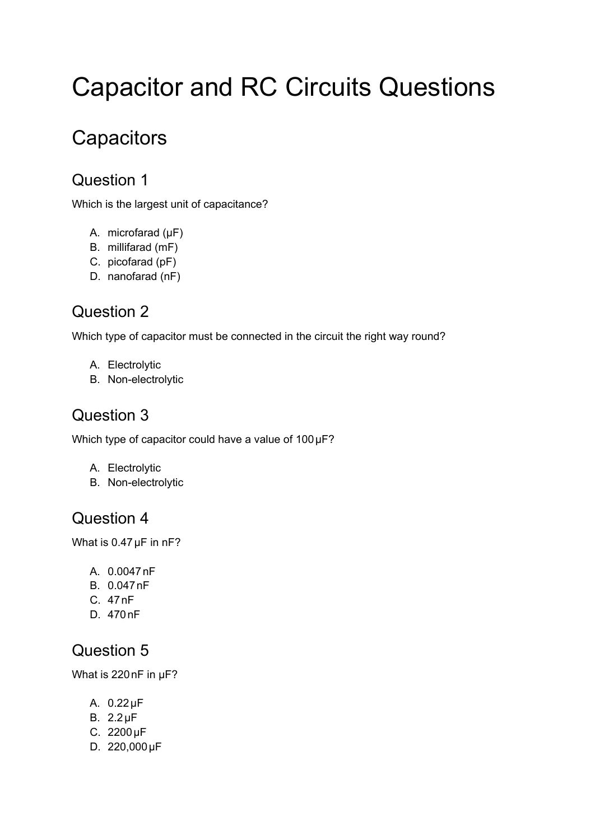# Capacitor and RC Circuits Questions

# **Capacitors**

# Question 1

Which is the largest unit of capacitance?

- A. microfarad (μF)
- B. millifarad (mF)
- C. picofarad (pF)
- D. nanofarad (nF)

# Question 2

Which type of capacitor must be connected in the circuit the right way round?

- A. Electrolytic
- B. Non-electrolytic

### Question 3

Which type of capacitor could have a value of 100 µF?

- A. Electrolytic
- B. Non-electrolytic

#### Question 4

What is 0.47 µF in nF?

- A. 0.0047nF
- B. 0.047nF
- C. 47nF
- D. 470nF

#### Question 5

What is 220nF in μF?

- A. 0.22μF
- B. 2.2μF
- C. 2200μF
- D. 220,000μF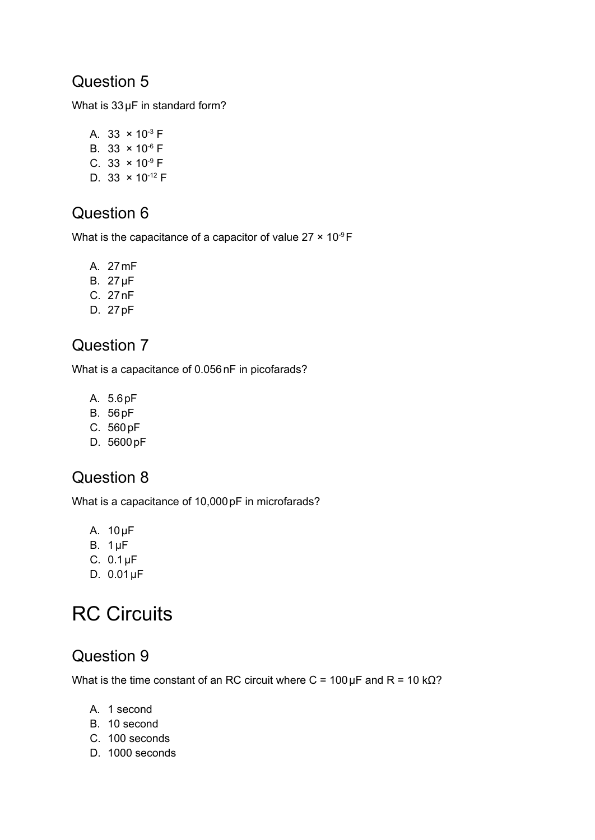### Question 5

What is 33 µF in standard form?

A. 33  $\times$  10<sup>-3</sup> F B.  $33 \times 10^{-6}$  F C. 33  $\times$  10<sup>-9</sup> F D. 33  $\times$  10<sup>-12</sup> F

# Question 6

What is the capacitance of a capacitor of value  $27 \times 10^{-9}$ F

- A. 27mF
- B. 27μF
- C. 27nF
- D. 27pF

# Question 7

What is a capacitance of 0.056 nF in picofarads?

- A. 5.6pF
- B. 56pF
- C. 560pF
- D. 5600pF

# Question 8

What is a capacitance of 10,000 pF in microfarads?

- A. 10μF
- B. 1μF
- C. 0.1μF
- D. 0.01μF

# RC Circuits

# Question 9

What is the time constant of an RC circuit where C =  $100 \mu$ F and R =  $10 \text{ k}\Omega$ ?

- A. 1 second
- B. 10 second
- C. 100 seconds
- D. 1000 seconds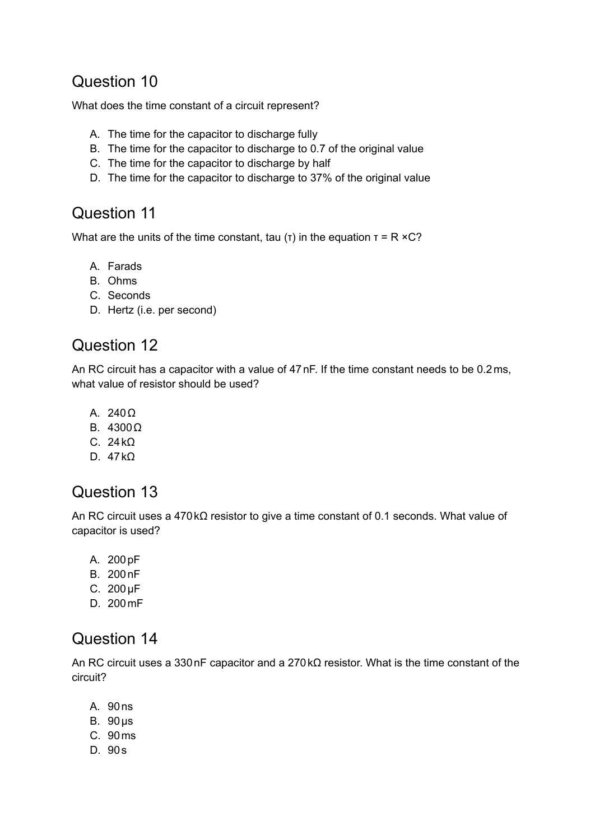### Question 10

What does the time constant of a circuit represent?

- A. The time for the capacitor to discharge fully
- B. The time for the capacitor to discharge to 0.7 of the original value
- C. The time for the capacitor to discharge by half
- D. The time for the capacitor to discharge to 37% of the original value

### Question 11

What are the units of the time constant, tau (τ) in the equation  $\tau = R \times C$ ?

- A. Farads
- B. Ohms
- C. Seconds
- D. Hertz (i.e. per second)

# Question 12

An RC circuit has a capacitor with a value of 47nF. If the time constant needs to be 0.2ms, what value of resistor should be used?

- A. 240Ω
- B. 4300Ω
- C. 24kΩ
- D. 47kΩ

#### Question 13

An RC circuit uses a 470kΩ resistor to give a time constant of 0.1 seconds. What value of capacitor is used?

- A. 200pF
- B. 200nF
- C. 200μF
- D. 200mF

# Question 14

An RC circuit uses a 330nF capacitor and a 270kΩ resistor. What is the time constant of the circuit?

- A. 90ns
- B. 90μs
- C. 90ms
- D. 90s